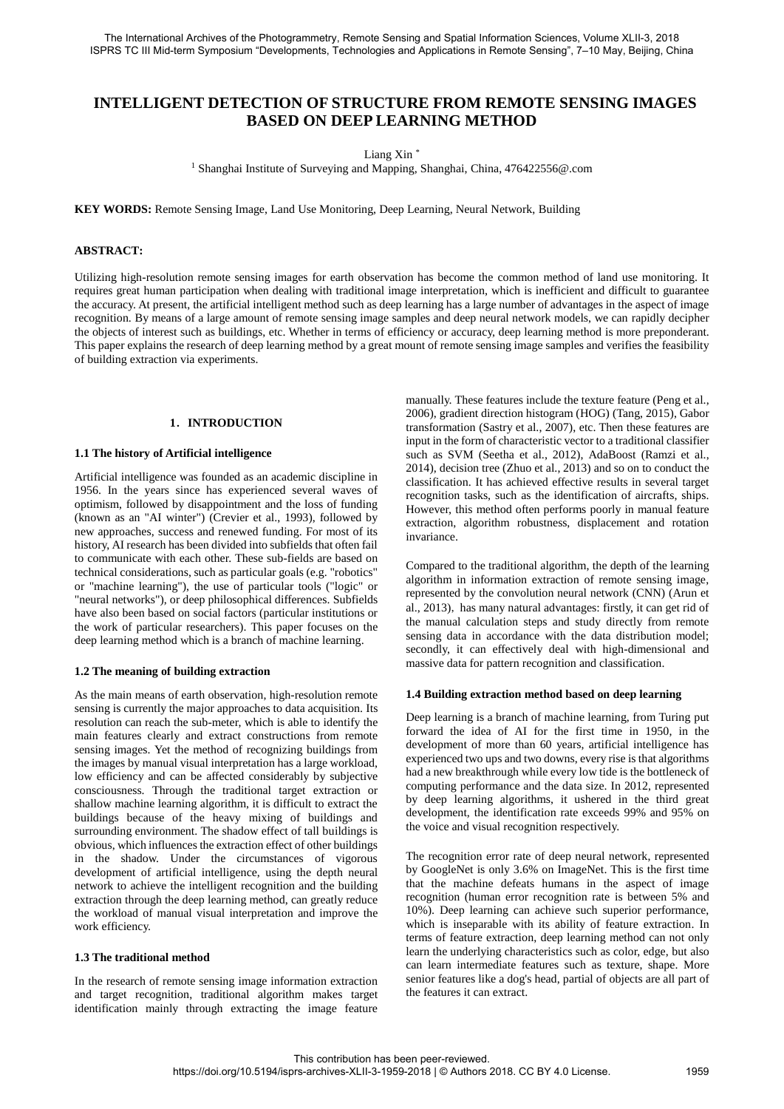# **INTELLIGENT DETECTION OF STRUCTURE FROM REMOTE SENSING IMAGES BASED ON DEEP LEARNING METHOD**

Liang Xin \*

<sup>1</sup> Shanghai Institute of Surveying and Mapping, Shanghai, China, 476422556@.com

**KEY WORDS:** Remote Sensing Image, Land Use Monitoring, Deep Learning, Neural Network, Building

## **ABSTRACT:**

Utilizing high-resolution remote sensing images for earth observation has become the common method of land use monitoring. It requires great human participation when dealing with traditional image interpretation, which is inefficient and difficult to guarantee the accuracy. At present, the artificial intelligent method such as deep learning has a large number of advantages in the aspect of image recognition. By means of a large amount of remote sensing image samples and deep neural network models, we can rapidly decipher the objects of interest such as buildings, etc. Whether in terms of efficiency or accuracy, deep learning method is more preponderant. This paper explains the research of deep learning method by a great mount of remote sensing image samples and verifies the feasibility of building extraction via experiments.

## **1**.**INTRODUCTION**

# **1.1 The history of Artificial intelligence**

Artificial intelligence was founded as an academic discipline in 1956. In the years since has experienced several waves of optimism, followed by disappointment and the loss of funding (known as an "AI winter") (Crevier et al., 1993), followed by new approaches, success and renewed funding. For most of its history, AI research has been divided into subfields that often fail to communicate with each other. These sub-fields are based on technical considerations, such as particular goals (e.g. "robotics" or "machine learning"), the use of particular tools ("logic" or "neural networks"), or deep philosophical differences. Subfields have also been based on social factors (particular institutions or the work of particular researchers). This paper focuses on the deep learning method which is a branch of machine learning.

# **1.2 The meaning of building extraction**

As the main means of earth observation, high-resolution remote sensing is currently the major approaches to data acquisition. Its resolution can reach the sub-meter, which is able to identify the main features clearly and extract constructions from remote sensing images. Yet the method of recognizing buildings from the images by manual visual interpretation has a large workload, low efficiency and can be affected considerably by subjective consciousness. Through the traditional target extraction or shallow machine learning algorithm, it is difficult to extract the buildings because of the heavy mixing of buildings and surrounding environment. The shadow effect of tall buildings is obvious, which influences the extraction effect of other buildings in the shadow. Under the circumstances of vigorous development of artificial intelligence, using the depth neural network to achieve the intelligent recognition and the building extraction through the deep learning method, can greatly reduce the workload of manual visual interpretation and improve the work efficiency.

# **1.3 The traditional method**

In the research of remote sensing image information extraction and target recognition, traditional algorithm makes target identification mainly through extracting the image feature manually. These features include the texture feature (Peng et al., 2006), gradient direction histogram (HOG) (Tang, 2015), Gabor transformation (Sastry et al., 2007), etc. Then these features are input in the form of characteristic vector to a traditional classifier such as SVM (Seetha et al., 2012), AdaBoost (Ramzi et al., 2014), decision tree (Zhuo et al., 2013) and so on to conduct the classification. It has achieved effective results in several target recognition tasks, such as the identification of aircrafts, ships. However, this method often performs poorly in manual feature extraction, algorithm robustness, displacement and rotation invariance.

Compared to the traditional algorithm, the depth of the learning algorithm in information extraction of remote sensing image, represented by the convolution neural network (CNN) (Arun et al., 2013), has many natural advantages: firstly, it can get rid of the manual calculation steps and study directly from remote sensing data in accordance with the data distribution model; secondly, it can effectively deal with high-dimensional and massive data for pattern recognition and classification.

#### **1.4 Building extraction method based on deep learning**

Deep learning is a branch of machine learning, from Turing put forward the idea of AI for the first time in 1950, in the development of more than 60 years, artificial intelligence has experienced two ups and two downs, every rise is that algorithms had a new breakthrough while every low tide is the bottleneck of computing performance and the data size. In 2012, represented by deep learning algorithms, it ushered in the third great development, the identification rate exceeds 99% and 95% on the voice and visual recognition respectively.

The recognition error rate of deep neural network, represented by GoogleNet is only 3.6% on ImageNet. This is the first time that the machine defeats humans in the aspect of image recognition (human error recognition rate is between 5% and 10%). Deep learning can achieve such superior performance, which is inseparable with its ability of feature extraction. In terms of feature extraction, deep learning method can not only learn the underlying characteristics such as color, edge, but also can learn intermediate features such as texture, shape. More senior features like a dog's head, partial of objects are all part of the features it can extract.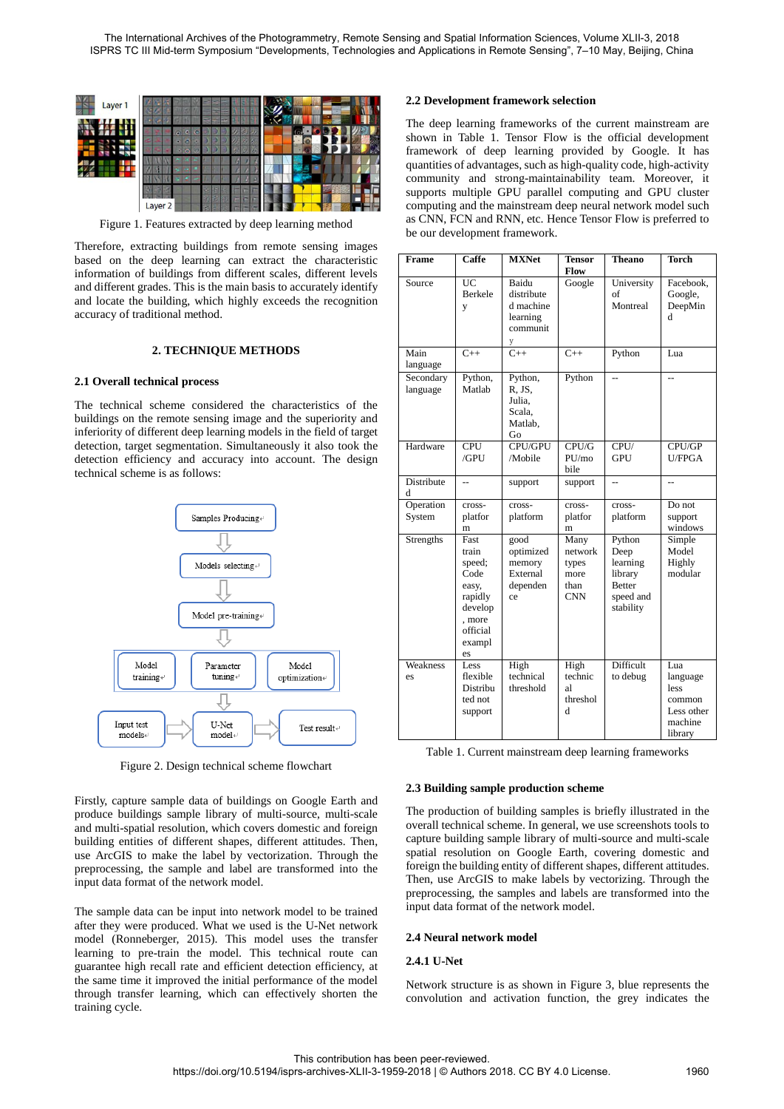

Figure 1. Features extracted by deep learning method

Therefore, extracting buildings from remote sensing images based on the deep learning can extract the characteristic information of buildings from different scales, different levels and different grades. This is the main basis to accurately identify and locate the building, which highly exceeds the recognition accuracy of traditional method.

## **2. TECHNIQUE METHODS**

## **2.1 Overall technical process**

The technical scheme considered the characteristics of the buildings on the remote sensing image and the superiority and inferiority of different deep learning models in the field of target detection, target segmentation. Simultaneously it also took the detection efficiency and accuracy into account. The design technical scheme is as follows:



Figure 2. Design technical scheme flowchart

Firstly, capture sample data of buildings on Google Earth and produce buildings sample library of multi-source, multi-scale and multi-spatial resolution, which covers domestic and foreign building entities of different shapes, different attitudes. Then, use ArcGIS to make the label by vectorization. Through the preprocessing, the sample and label are transformed into the input data format of the network model.

The sample data can be input into network model to be trained after they were produced. What we used is the U-Net network model (Ronneberger, 2015). This model uses the transfer learning to pre-train the model. This technical route can guarantee high recall rate and efficient detection efficiency, at the same time it improved the initial performance of the model through transfer learning, which can effectively shorten the training cycle.

## **2.2 Development framework selection**

The deep learning frameworks of the current mainstream are shown in Table 1. Tensor Flow is the official development framework of deep learning provided by Google. It has quantities of advantages, such as high-quality code, high-activity community and strong-maintainability team. Moreover, it supports multiple GPU parallel computing and GPU cluster computing and the mainstream deep neural network model such as CNN, FCN and RNN, etc. Hence Tensor Flow is preferred to be our development framework.

| Frame                 | Caffe                                                                                                | <b>MXNet</b>                                                  | <b>Tensor</b><br>Flow                                  | <b>Theano</b>                                                                    | <b>Torch</b>                                                          |
|-----------------------|------------------------------------------------------------------------------------------------------|---------------------------------------------------------------|--------------------------------------------------------|----------------------------------------------------------------------------------|-----------------------------------------------------------------------|
| Source                | UC<br>Berkele<br>y                                                                                   | Baidu<br>distribute<br>d machine<br>learning<br>communit<br>у | Google                                                 | University<br>of<br>Montreal                                                     | Facebook,<br>Google,<br>DeepMin<br>d                                  |
| Main<br>language      | $C++$                                                                                                | $C++$                                                         | $C++$                                                  | Python                                                                           | Lua                                                                   |
| Secondary<br>language | Python,<br>Matlab                                                                                    | Python,<br>R.JS.<br>Julia.<br>Scala,<br>Matlab,<br>Go         | Python                                                 |                                                                                  | $\overline{a}$                                                        |
| Hardware              | <b>CPU</b><br>/GPU                                                                                   | <b>CPU/GPU</b><br>/Mobile                                     | CPU/G<br>$P$ U/mo<br>bile                              | CPU/<br><b>GPU</b>                                                               | CPU/GP<br>U/FPGA                                                      |
| Distribute<br>d       | $-$                                                                                                  | support                                                       | support                                                | $\overline{a}$                                                                   | $-$                                                                   |
| Operation<br>System   | cross-<br>platfor<br>m                                                                               | cross-<br>platform                                            | cross-<br>platfor<br>m                                 | cross-<br>platform                                                               | Do not<br>support<br>windows                                          |
| Strengths             | Fast<br>train<br>speed;<br>Code<br>easy,<br>rapidly<br>develop<br>. more<br>official<br>exampl<br>es | good<br>optimized<br>memory<br>External<br>dependen<br>ce     | Many<br>network<br>types<br>more<br>than<br><b>CNN</b> | Python<br>Deep<br>learning<br>library<br><b>Better</b><br>speed and<br>stability | Simple<br>Model<br>Highly<br>modular                                  |
| Weakness<br>es        | Less<br>flexible<br>Distribu<br>ted not<br>support                                                   | High<br>technical<br>threshold                                | High<br>technic<br>яl<br>threshol<br>d                 | <b>Difficult</b><br>to debug                                                     | Lua<br>language<br>less<br>common<br>Less other<br>machine<br>library |

Table 1. Current mainstream deep learning frameworks

#### **2.3 Building sample production scheme**

The production of building samples is briefly illustrated in the overall technical scheme. In general, we use screenshots tools to capture building sample library of multi-source and multi-scale spatial resolution on Google Earth, covering domestic and foreign the building entity of different shapes, different attitudes. Then, use ArcGIS to make labels by vectorizing. Through the preprocessing, the samples and labels are transformed into the input data format of the network model.

#### **2.4 Neural network model**

#### **2.4.1 U-Net**

Network structure is as shown in Figure 3, blue represents the convolution and activation function, the grey indicates the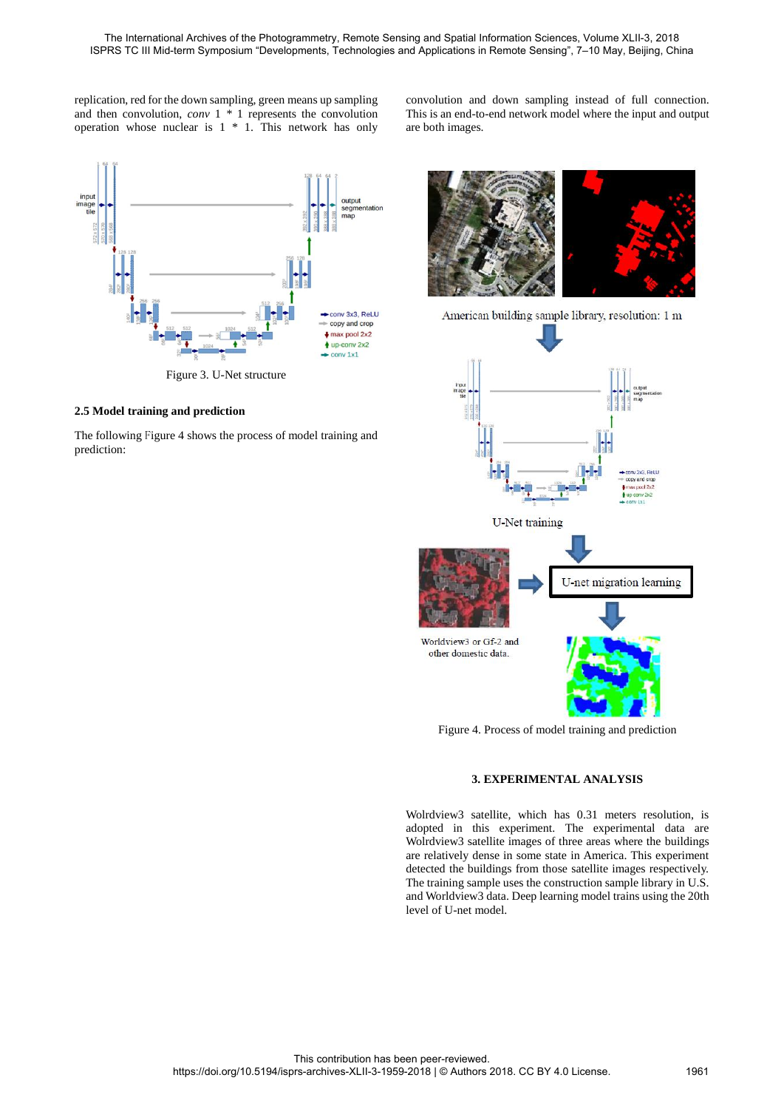replication, red for the down sampling, green means up sampling and then convolution, *conv* 1 *\** 1 represents the convolution operation whose nuclear is  $1 * 1$ . This network has only

inpu image<br>tile map conv 3x3, ReLU copy and crop  $\frac{1}{2}$  max pool 2x2  $4$  up-conv 2x2  $conv 1x1$ 

Figure 3. U-Net structure

# **2.5 Model training and prediction**

The following Figure 4 shows the process of model training and prediction:

convolution and down sampling instead of full connection. This is an end-to-end network model where the input and output are both images.



Figure 4. Process of model training and prediction

#### **3. EXPERIMENTAL ANALYSIS**

Wolrdview3 satellite, which has 0.31 meters resolution, is adopted in this experiment. The experimental data are Wolrdview3 satellite images of three areas where the buildings are relatively dense in some state in America. This experiment detected the buildings from those satellite images respectively. The training sample uses the construction sample library in U.S. and Worldview3 data. Deep learning model trains using the 20th level of U-net model.